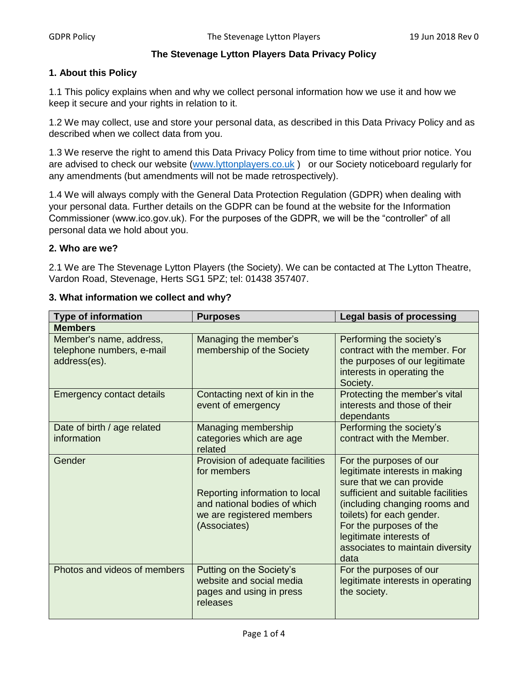### **The Stevenage Lytton Players Data Privacy Policy**

### **1. About this Policy**

1.1 This policy explains when and why we collect personal information how we use it and how we keep it secure and your rights in relation to it.

1.2 We may collect, use and store your personal data, as described in this Data Privacy Policy and as described when we collect data from you.

1.3 We reserve the right to amend this Data Privacy Policy from time to time without prior notice. You are advised to check our website [\(www.lyttonplayers.co.uk](http://www.lyttonplayers.co.uk/)) or our Society noticeboard regularly for any amendments (but amendments will not be made retrospectively).

1.4 We will always comply with the General Data Protection Regulation (GDPR) when dealing with your personal data. Further details on the GDPR can be found at the website for the Information Commissioner (www.ico.gov.uk). For the purposes of the GDPR, we will be the "controller" of all personal data we hold about you.

# **2. Who are we?**

2.1 We are The Stevenage Lytton Players (the Society). We can be contacted at The Lytton Theatre, Vardon Road, Stevenage, Herts SG1 5PZ; tel: 01438 357407.

| <b>Type of information</b>                                           | <b>Purposes</b>                                                                                                                                                | <b>Legal basis of processing</b>                                                                                                                                                                                                                                                            |
|----------------------------------------------------------------------|----------------------------------------------------------------------------------------------------------------------------------------------------------------|---------------------------------------------------------------------------------------------------------------------------------------------------------------------------------------------------------------------------------------------------------------------------------------------|
| <b>Members</b>                                                       |                                                                                                                                                                |                                                                                                                                                                                                                                                                                             |
| Member's name, address,<br>telephone numbers, e-mail<br>address(es). | Managing the member's<br>membership of the Society                                                                                                             | Performing the society's<br>contract with the member. For<br>the purposes of our legitimate<br>interests in operating the<br>Society.                                                                                                                                                       |
| <b>Emergency contact details</b>                                     | Contacting next of kin in the<br>event of emergency                                                                                                            | Protecting the member's vital<br>interests and those of their<br>dependants                                                                                                                                                                                                                 |
| Date of birth / age related<br>information                           | Managing membership<br>categories which are age<br>related                                                                                                     | Performing the society's<br>contract with the Member.                                                                                                                                                                                                                                       |
| Gender                                                               | Provision of adequate facilities<br>for members<br>Reporting information to local<br>and national bodies of which<br>we are registered members<br>(Associates) | For the purposes of our<br>legitimate interests in making<br>sure that we can provide<br>sufficient and suitable facilities<br>(including changing rooms and<br>toilets) for each gender.<br>For the purposes of the<br>legitimate interests of<br>associates to maintain diversity<br>data |
| Photos and videos of members                                         | Putting on the Society's<br>website and social media<br>pages and using in press<br>releases                                                                   | For the purposes of our<br>legitimate interests in operating<br>the society.                                                                                                                                                                                                                |

#### **3. What information we collect and why?**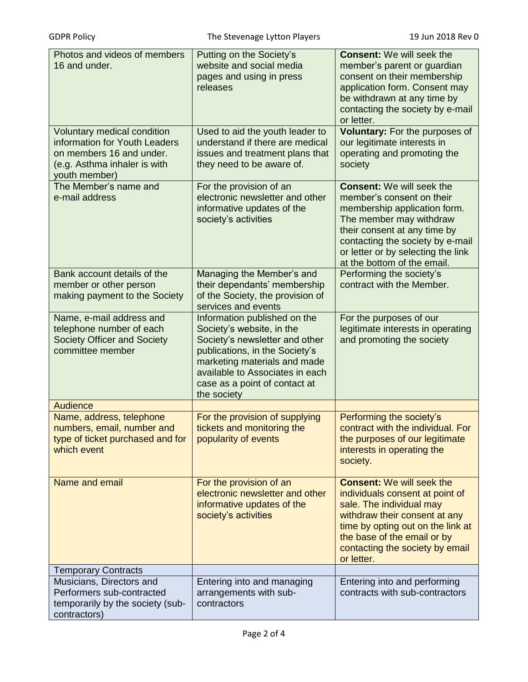| Photos and videos of members<br>16 and under.                                                                                                    | Putting on the Society's<br>website and social media<br>pages and using in press<br>releases                                                                                                                                                     | <b>Consent: We will seek the</b><br>member's parent or guardian<br>consent on their membership<br>application form. Consent may<br>be withdrawn at any time by<br>contacting the society by e-mail<br>or letter.                                                  |
|--------------------------------------------------------------------------------------------------------------------------------------------------|--------------------------------------------------------------------------------------------------------------------------------------------------------------------------------------------------------------------------------------------------|-------------------------------------------------------------------------------------------------------------------------------------------------------------------------------------------------------------------------------------------------------------------|
| <b>Voluntary medical condition</b><br>information for Youth Leaders<br>on members 16 and under.<br>(e.g. Asthma inhaler is with<br>youth member) | Used to aid the youth leader to<br>understand if there are medical<br>issues and treatment plans that<br>they need to be aware of.                                                                                                               | Voluntary: For the purposes of<br>our legitimate interests in<br>operating and promoting the<br>society                                                                                                                                                           |
| The Member's name and<br>e-mail address                                                                                                          | For the provision of an<br>electronic newsletter and other<br>informative updates of the<br>society's activities                                                                                                                                 | <b>Consent:</b> We will seek the<br>member's consent on their<br>membership application form.<br>The member may withdraw<br>their consent at any time by<br>contacting the society by e-mail<br>or letter or by selecting the link<br>at the bottom of the email. |
| Bank account details of the<br>member or other person<br>making payment to the Society                                                           | Managing the Member's and<br>their dependants' membership<br>of the Society, the provision of<br>services and events                                                                                                                             | Performing the society's<br>contract with the Member.                                                                                                                                                                                                             |
| Name, e-mail address and<br>telephone number of each<br><b>Society Officer and Society</b><br>committee member                                   | Information published on the<br>Society's website, in the<br>Society's newsletter and other<br>publications, in the Society's<br>marketing materials and made<br>available to Associates in each<br>case as a point of contact at<br>the society | For the purposes of our<br>legitimate interests in operating<br>and promoting the society                                                                                                                                                                         |
| Audience                                                                                                                                         |                                                                                                                                                                                                                                                  |                                                                                                                                                                                                                                                                   |
| Name, address, telephone<br>numbers, email, number and<br>type of ticket purchased and for<br>which event                                        | For the provision of supplying<br>tickets and monitoring the<br>popularity of events                                                                                                                                                             | Performing the society's<br>contract with the individual. For<br>the purposes of our legitimate<br>interests in operating the<br>society.                                                                                                                         |
| Name and email                                                                                                                                   | For the provision of an<br>electronic newsletter and other<br>informative updates of the<br>society's activities                                                                                                                                 | <b>Consent: We will seek the</b><br>individuals consent at point of<br>sale. The individual may<br>withdraw their consent at any<br>time by opting out on the link at<br>the base of the email or by<br>contacting the society by email<br>or letter.             |
| <b>Temporary Contracts</b>                                                                                                                       |                                                                                                                                                                                                                                                  |                                                                                                                                                                                                                                                                   |
| Musicians, Directors and<br>Performers sub-contracted<br>temporarily by the society (sub-<br>contractors)                                        | Entering into and managing<br>arrangements with sub-<br>contractors                                                                                                                                                                              | Entering into and performing<br>contracts with sub-contractors                                                                                                                                                                                                    |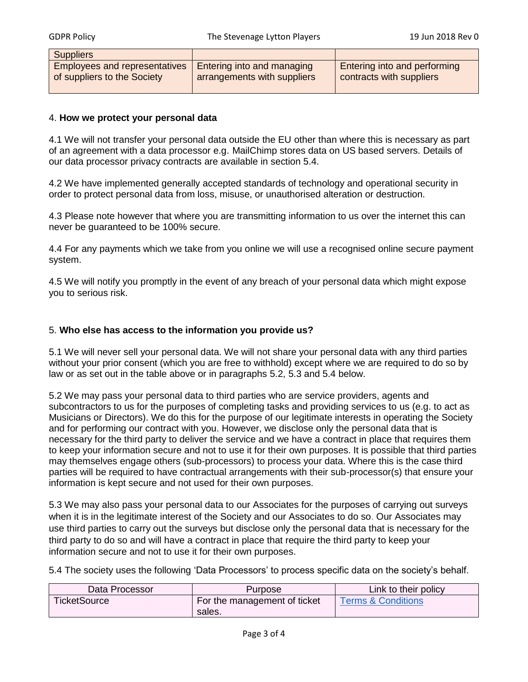| <b>Suppliers</b>                     |                                   |                              |
|--------------------------------------|-----------------------------------|------------------------------|
| <b>Employees and representatives</b> | <b>Entering into and managing</b> | Entering into and performing |
| of suppliers to the Society          | arrangements with suppliers       | contracts with suppliers     |

#### 4. **How we protect your personal data**

4.1 We will not transfer your personal data outside the EU other than where this is necessary as part of an agreement with a data processor e.g. MailChimp stores data on US based servers. Details of our data processor privacy contracts are available in section 5.4.

4.2 We have implemented generally accepted standards of technology and operational security in order to protect personal data from loss, misuse, or unauthorised alteration or destruction.

4.3 Please note however that where you are transmitting information to us over the internet this can never be guaranteed to be 100% secure.

4.4 For any payments which we take from you online we will use a recognised online secure payment system.

4.5 We will notify you promptly in the event of any breach of your personal data which might expose you to serious risk.

#### 5. **Who else has access to the information you provide us?**

5.1 We will never sell your personal data. We will not share your personal data with any third parties without your prior consent (which you are free to withhold) except where we are required to do so by law or as set out in the table above or in paragraphs 5.2, 5.3 and 5.4 below.

5.2 We may pass your personal data to third parties who are service providers, agents and subcontractors to us for the purposes of completing tasks and providing services to us (e.g. to act as Musicians or Directors). We do this for the purpose of our legitimate interests in operating the Society and for performing our contract with you. However, we disclose only the personal data that is necessary for the third party to deliver the service and we have a contract in place that requires them to keep your information secure and not to use it for their own purposes. It is possible that third parties may themselves engage others (sub-processors) to process your data. Where this is the case third parties will be required to have contractual arrangements with their sub-processor(s) that ensure your information is kept secure and not used for their own purposes.

5.3 We may also pass your personal data to our Associates for the purposes of carrying out surveys when it is in the legitimate interest of the Society and our Associates to do so. Our Associates may use third parties to carry out the surveys but disclose only the personal data that is necessary for the third party to do so and will have a contract in place that require the third party to keep your information secure and not to use it for their own purposes.

5.4 The society uses the following 'Data Processors' to process specific data on the society's behalf.

| Data Processor      | Purpose                      | Link to their policy |
|---------------------|------------------------------|----------------------|
| <b>TicketSource</b> | For the management of ticket | Terms & Conditions   |
|                     | sales.                       |                      |